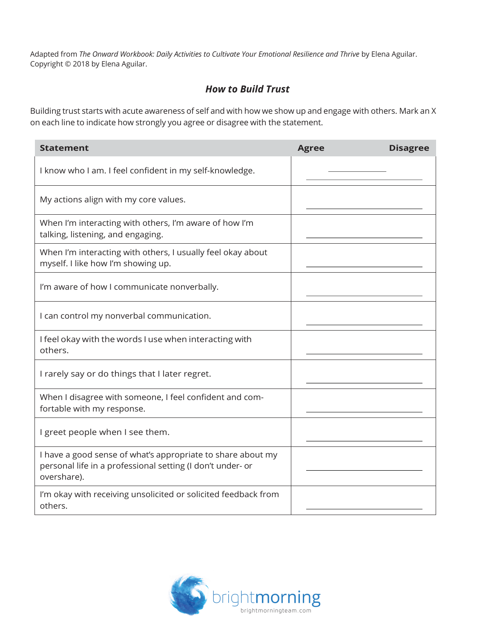Adapted from *The Onward Workbook: Daily Activities to Cultivate Your Emotional Resilience and Thrive* by Elena Aguilar. Copyright © 2018 by Elena Aguilar.

## *How to Build Trust*

Building trust starts with acute awareness of self and with how we show up and engage with others. Mark an X on each line to indicate how strongly you agree or disagree with the statement.

| <b>Statement</b>                                                                                                                         | <b>Agree</b> | <b>Disagree</b> |
|------------------------------------------------------------------------------------------------------------------------------------------|--------------|-----------------|
| I know who I am. I feel confident in my self-knowledge.                                                                                  |              |                 |
| My actions align with my core values.                                                                                                    |              |                 |
| When I'm interacting with others, I'm aware of how I'm<br>talking, listening, and engaging.                                              |              |                 |
| When I'm interacting with others, I usually feel okay about<br>myself. I like how I'm showing up.                                        |              |                 |
| I'm aware of how I communicate nonverbally.                                                                                              |              |                 |
| I can control my nonverbal communication.                                                                                                |              |                 |
| I feel okay with the words I use when interacting with<br>others.                                                                        |              |                 |
| I rarely say or do things that I later regret.                                                                                           |              |                 |
| When I disagree with someone, I feel confident and com-<br>fortable with my response.                                                    |              |                 |
| I greet people when I see them.                                                                                                          |              |                 |
| I have a good sense of what's appropriate to share about my<br>personal life in a professional setting (I don't under- or<br>overshare). |              |                 |
| I'm okay with receiving unsolicited or solicited feedback from<br>others.                                                                |              |                 |

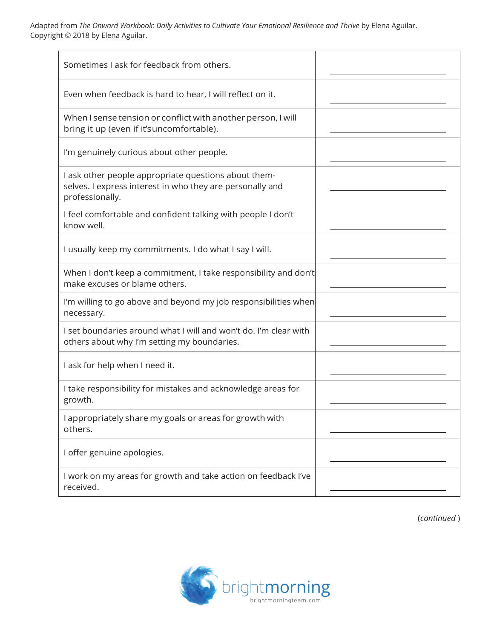Adapted from *The Onward Workbook: Daily Activities to Cultivate Your Emotional Resilience and Thrive* by Elena Aguilar. Copyright © 2018 by Elena Aguilar.

| Sometimes I ask for feedback from others.                                                                                            |  |
|--------------------------------------------------------------------------------------------------------------------------------------|--|
| Even when feedback is hard to hear, I will reflect on it.                                                                            |  |
| When I sense tension or conflict with another person, I will<br>bring it up (even if it'suncomfortable).                             |  |
| I'm genuinely curious about other people.                                                                                            |  |
| I ask other people appropriate questions about them-<br>selves. I express interest in who they are personally and<br>professionally. |  |
| I feel comfortable and confident talking with people I don't<br>know well.                                                           |  |
| I usually keep my commitments. I do what I say I will.                                                                               |  |
| When I don't keep a commitment, I take responsibility and don't<br>make excuses or blame others.                                     |  |
| I'm willing to go above and beyond my job responsibilities when<br>necessary.                                                        |  |
| I set boundaries around what I will and won't do. I'm clear with<br>others about why I'm setting my boundaries.                      |  |
| I ask for help when I need it.                                                                                                       |  |
| I take responsibility for mistakes and acknowledge areas for<br>growth.                                                              |  |
| I appropriately share my goals or areas for growth with<br>others.                                                                   |  |
| I offer genuine apologies.                                                                                                           |  |
| I work on my areas for growth and take action on feedback I've<br>received.                                                          |  |

(*continued* )